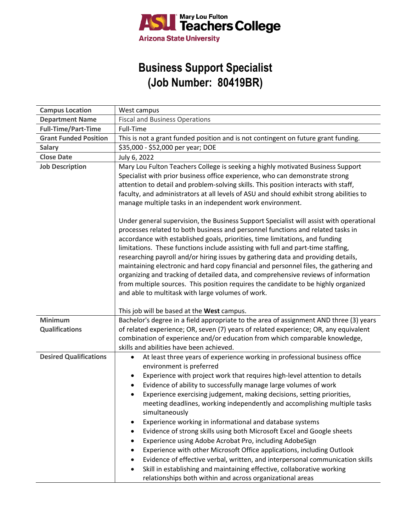

## **Business Support Specialist (Job Number: 80419BR)**

| <b>Campus Location</b>        | West campus                                                                                                                                                                                                                                                                                                                                                                                                                                                                                                                                                                                                                                                                                                                                                                                                                                                                                                                                                                                                                                                                                                                                                                                                                   |
|-------------------------------|-------------------------------------------------------------------------------------------------------------------------------------------------------------------------------------------------------------------------------------------------------------------------------------------------------------------------------------------------------------------------------------------------------------------------------------------------------------------------------------------------------------------------------------------------------------------------------------------------------------------------------------------------------------------------------------------------------------------------------------------------------------------------------------------------------------------------------------------------------------------------------------------------------------------------------------------------------------------------------------------------------------------------------------------------------------------------------------------------------------------------------------------------------------------------------------------------------------------------------|
| <b>Department Name</b>        | <b>Fiscal and Business Operations</b>                                                                                                                                                                                                                                                                                                                                                                                                                                                                                                                                                                                                                                                                                                                                                                                                                                                                                                                                                                                                                                                                                                                                                                                         |
| <b>Full-Time/Part-Time</b>    | Full-Time                                                                                                                                                                                                                                                                                                                                                                                                                                                                                                                                                                                                                                                                                                                                                                                                                                                                                                                                                                                                                                                                                                                                                                                                                     |
| <b>Grant Funded Position</b>  | This is not a grant funded position and is not contingent on future grant funding.                                                                                                                                                                                                                                                                                                                                                                                                                                                                                                                                                                                                                                                                                                                                                                                                                                                                                                                                                                                                                                                                                                                                            |
| <b>Salary</b>                 | \$35,000 - \$52,000 per year; DOE                                                                                                                                                                                                                                                                                                                                                                                                                                                                                                                                                                                                                                                                                                                                                                                                                                                                                                                                                                                                                                                                                                                                                                                             |
| <b>Close Date</b>             | July 6, 2022                                                                                                                                                                                                                                                                                                                                                                                                                                                                                                                                                                                                                                                                                                                                                                                                                                                                                                                                                                                                                                                                                                                                                                                                                  |
| <b>Job Description</b>        | Mary Lou Fulton Teachers College is seeking a highly motivated Business Support<br>Specialist with prior business office experience, who can demonstrate strong<br>attention to detail and problem-solving skills. This position interacts with staff,<br>faculty, and administrators at all levels of ASU and should exhibit strong abilities to<br>manage multiple tasks in an independent work environment.<br>Under general supervision, the Business Support Specialist will assist with operational<br>processes related to both business and personnel functions and related tasks in<br>accordance with established goals, priorities, time limitations, and funding<br>limitations. These functions include assisting with full and part-time staffing,<br>researching payroll and/or hiring issues by gathering data and providing details,<br>maintaining electronic and hard copy financial and personnel files, the gathering and<br>organizing and tracking of detailed data, and comprehensive reviews of information<br>from multiple sources. This position requires the candidate to be highly organized<br>and able to multitask with large volumes of work.<br>This job will be based at the West campus. |
| Minimum                       | Bachelor's degree in a field appropriate to the area of assignment AND three (3) years                                                                                                                                                                                                                                                                                                                                                                                                                                                                                                                                                                                                                                                                                                                                                                                                                                                                                                                                                                                                                                                                                                                                        |
| <b>Qualifications</b>         | of related experience; OR, seven (7) years of related experience; OR, any equivalent<br>combination of experience and/or education from which comparable knowledge,<br>skills and abilities have been achieved.                                                                                                                                                                                                                                                                                                                                                                                                                                                                                                                                                                                                                                                                                                                                                                                                                                                                                                                                                                                                               |
| <b>Desired Qualifications</b> | At least three years of experience working in professional business office<br>environment is preferred                                                                                                                                                                                                                                                                                                                                                                                                                                                                                                                                                                                                                                                                                                                                                                                                                                                                                                                                                                                                                                                                                                                        |
|                               | Experience with project work that requires high-level attention to details<br>Evidence of ability to successfully manage large volumes of work<br>٠<br>Experience exercising judgement, making decisions, setting priorities,<br>meeting deadlines, working independently and accomplishing multiple tasks<br>simultaneously<br>Experience working in informational and database systems<br>٠<br>Evidence of strong skills using both Microsoft Excel and Google sheets<br>Experience using Adobe Acrobat Pro, including AdobeSign<br>Experience with other Microsoft Office applications, including Outlook<br>Evidence of effective verbal, written, and interpersonal communication skills<br>Skill in establishing and maintaining effective, collaborative working<br>$\bullet$<br>relationships both within and across organizational areas                                                                                                                                                                                                                                                                                                                                                                             |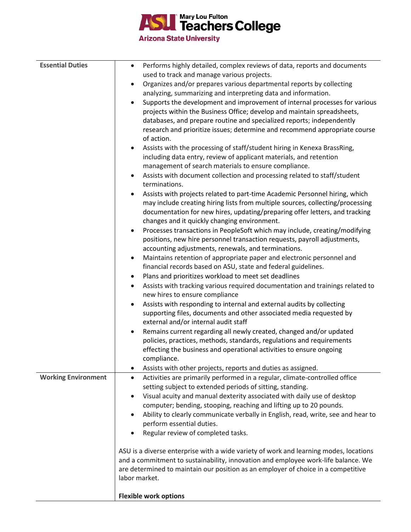

**Arizona State University** 

| <b>Essential Duties</b>    | Performs highly detailed, complex reviews of data, reports and documents<br>$\bullet$                                                               |
|----------------------------|-----------------------------------------------------------------------------------------------------------------------------------------------------|
|                            | used to track and manage various projects.                                                                                                          |
|                            | Organizes and/or prepares various departmental reports by collecting<br>$\bullet$                                                                   |
|                            | analyzing, summarizing and interpreting data and information.                                                                                       |
|                            | Supports the development and improvement of internal processes for various<br>$\bullet$                                                             |
|                            | projects within the Business Office; develop and maintain spreadsheets,                                                                             |
|                            | databases, and prepare routine and specialized reports; independently                                                                               |
|                            | research and prioritize issues; determine and recommend appropriate course                                                                          |
|                            | of action.                                                                                                                                          |
|                            | Assists with the processing of staff/student hiring in Kenexa BrassRing,<br>$\bullet$                                                               |
|                            | including data entry, review of applicant materials, and retention<br>management of search materials to ensure compliance.                          |
|                            | Assists with document collection and processing related to staff/student<br>$\bullet$                                                               |
|                            | terminations.                                                                                                                                       |
|                            | Assists with projects related to part-time Academic Personnel hiring, which<br>$\bullet$                                                            |
|                            | may include creating hiring lists from multiple sources, collecting/processing                                                                      |
|                            | documentation for new hires, updating/preparing offer letters, and tracking                                                                         |
|                            | changes and it quickly changing environment.                                                                                                        |
|                            | Processes transactions in PeopleSoft which may include, creating/modifying<br>$\bullet$                                                             |
|                            | positions, new hire personnel transaction requests, payroll adjustments,                                                                            |
|                            | accounting adjustments, renewals, and terminations.                                                                                                 |
|                            | Maintains retention of appropriate paper and electronic personnel and<br>$\bullet$<br>financial records based on ASU, state and federal guidelines. |
|                            | Plans and prioritizes workload to meet set deadlines<br>٠                                                                                           |
|                            | Assists with tracking various required documentation and trainings related to                                                                       |
|                            | ٠<br>new hires to ensure compliance                                                                                                                 |
|                            | Assists with responding to internal and external audits by collecting<br>$\bullet$                                                                  |
|                            | supporting files, documents and other associated media requested by                                                                                 |
|                            | external and/or internal audit staff                                                                                                                |
|                            | Remains current regarding all newly created, changed and/or updated<br>$\bullet$                                                                    |
|                            | policies, practices, methods, standards, regulations and requirements                                                                               |
|                            | effecting the business and operational activities to ensure ongoing                                                                                 |
|                            | compliance                                                                                                                                          |
|                            | Assists with other projects, reports and duties as assigned.<br>٠                                                                                   |
| <b>Working Environment</b> | Activities are primarily performed in a regular, climate-controlled office<br>$\bullet$                                                             |
|                            | setting subject to extended periods of sitting, standing.                                                                                           |
|                            | Visual acuity and manual dexterity associated with daily use of desktop<br>$\bullet$                                                                |
|                            | computer; bending, stooping, reaching and lifting up to 20 pounds.                                                                                  |
|                            | Ability to clearly communicate verbally in English, read, write, see and hear to<br>$\bullet$<br>perform essential duties.                          |
|                            | Regular review of completed tasks.                                                                                                                  |
|                            |                                                                                                                                                     |
|                            | ASU is a diverse enterprise with a wide variety of work and learning modes, locations                                                               |
|                            | and a commitment to sustainability, innovation and employee work-life balance. We                                                                   |
|                            | are determined to maintain our position as an employer of choice in a competitive                                                                   |
|                            | labor market.                                                                                                                                       |
|                            | <b>Flexible work options</b>                                                                                                                        |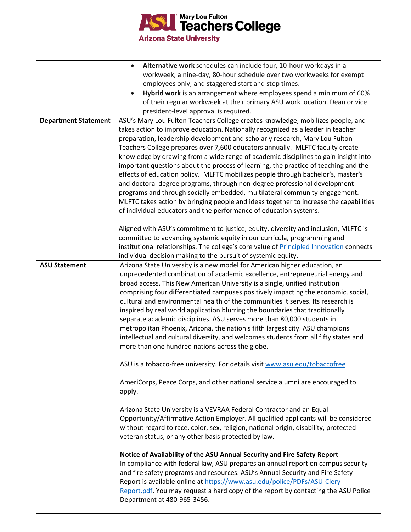

|                             | Alternative work schedules can include four, 10-hour workdays in a                                                                                                                                                                                                                                                                                                                                                                                                                                                                                                                                                                          |
|-----------------------------|---------------------------------------------------------------------------------------------------------------------------------------------------------------------------------------------------------------------------------------------------------------------------------------------------------------------------------------------------------------------------------------------------------------------------------------------------------------------------------------------------------------------------------------------------------------------------------------------------------------------------------------------|
|                             | workweek; a nine-day, 80-hour schedule over two workweeks for exempt                                                                                                                                                                                                                                                                                                                                                                                                                                                                                                                                                                        |
|                             | employees only; and staggered start and stop times.                                                                                                                                                                                                                                                                                                                                                                                                                                                                                                                                                                                         |
|                             | Hybrid work is an arrangement where employees spend a minimum of 60%                                                                                                                                                                                                                                                                                                                                                                                                                                                                                                                                                                        |
|                             | of their regular workweek at their primary ASU work location. Dean or vice                                                                                                                                                                                                                                                                                                                                                                                                                                                                                                                                                                  |
|                             | president-level approval is required.<br>ASU's Mary Lou Fulton Teachers College creates knowledge, mobilizes people, and                                                                                                                                                                                                                                                                                                                                                                                                                                                                                                                    |
| <b>Department Statement</b> | takes action to improve education. Nationally recognized as a leader in teacher<br>preparation, leadership development and scholarly research, Mary Lou Fulton<br>Teachers College prepares over 7,600 educators annually. MLFTC faculty create<br>knowledge by drawing from a wide range of academic disciplines to gain insight into<br>important questions about the process of learning, the practice of teaching and the<br>effects of education policy. MLFTC mobilizes people through bachelor's, master's                                                                                                                           |
|                             | and doctoral degree programs, through non-degree professional development                                                                                                                                                                                                                                                                                                                                                                                                                                                                                                                                                                   |
|                             | programs and through socially embedded, multilateral community engagement.                                                                                                                                                                                                                                                                                                                                                                                                                                                                                                                                                                  |
|                             | MLFTC takes action by bringing people and ideas together to increase the capabilities                                                                                                                                                                                                                                                                                                                                                                                                                                                                                                                                                       |
|                             | of individual educators and the performance of education systems.                                                                                                                                                                                                                                                                                                                                                                                                                                                                                                                                                                           |
|                             | Aligned with ASU's commitment to justice, equity, diversity and inclusion, MLFTC is<br>committed to advancing systemic equity in our curricula, programming and<br>institutional relationships. The college's core value of Principled Innovation connects                                                                                                                                                                                                                                                                                                                                                                                  |
|                             | individual decision making to the pursuit of systemic equity.                                                                                                                                                                                                                                                                                                                                                                                                                                                                                                                                                                               |
| <b>ASU Statement</b>        | Arizona State University is a new model for American higher education, an<br>unprecedented combination of academic excellence, entrepreneurial energy and                                                                                                                                                                                                                                                                                                                                                                                                                                                                                   |
|                             | broad access. This New American University is a single, unified institution<br>comprising four differentiated campuses positively impacting the economic, social,<br>cultural and environmental health of the communities it serves. Its research is<br>inspired by real world application blurring the boundaries that traditionally<br>separate academic disciplines. ASU serves more than 80,000 students in<br>metropolitan Phoenix, Arizona, the nation's fifth largest city. ASU champions<br>intellectual and cultural diversity, and welcomes students from all fifty states and<br>more than one hundred nations across the globe. |
|                             | ASU is a tobacco-free university. For details visit www.asu.edu/tobaccofree                                                                                                                                                                                                                                                                                                                                                                                                                                                                                                                                                                 |
|                             | AmeriCorps, Peace Corps, and other national service alumni are encouraged to<br>apply.                                                                                                                                                                                                                                                                                                                                                                                                                                                                                                                                                      |
|                             | Arizona State University is a VEVRAA Federal Contractor and an Equal<br>Opportunity/Affirmative Action Employer. All qualified applicants will be considered<br>without regard to race, color, sex, religion, national origin, disability, protected<br>veteran status, or any other basis protected by law.                                                                                                                                                                                                                                                                                                                                |
|                             | Notice of Availability of the ASU Annual Security and Fire Safety Report<br>In compliance with federal law, ASU prepares an annual report on campus security<br>and fire safety programs and resources. ASU's Annual Security and Fire Safety<br>Report is available online at https://www.asu.edu/police/PDFs/ASU-Clery-<br>Report.pdf. You may request a hard copy of the report by contacting the ASU Police<br>Department at 480-965-3456.                                                                                                                                                                                              |